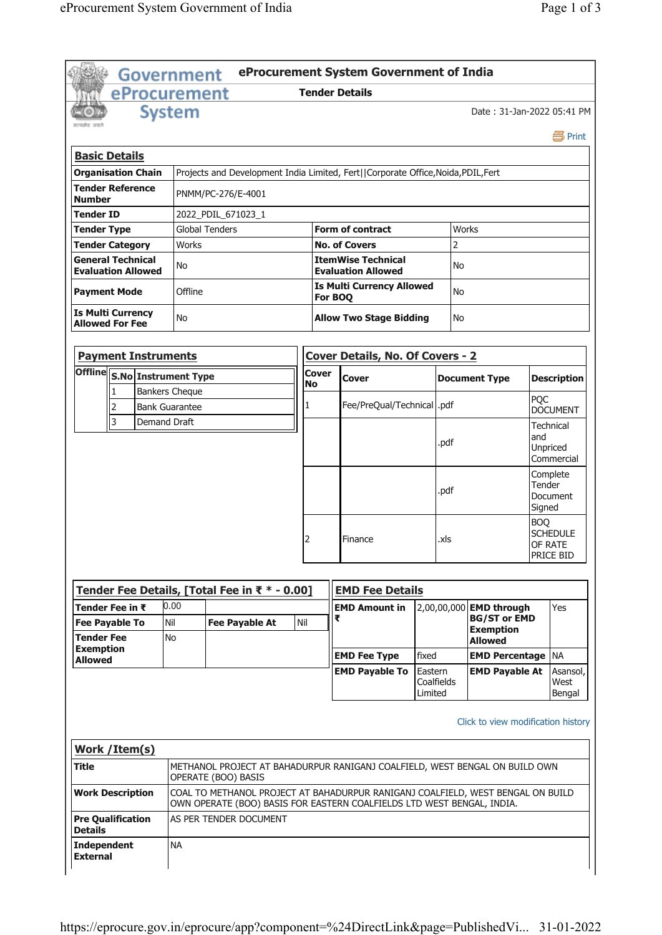|                                                    | <b>Government</b>                                                                                                                                                                    |                       |                                                                                 |                                               |  |     |         | eProcurement System Government of India                                           |                       |                |                                    |            |                        |  |
|----------------------------------------------------|--------------------------------------------------------------------------------------------------------------------------------------------------------------------------------------|-----------------------|---------------------------------------------------------------------------------|-----------------------------------------------|--|-----|---------|-----------------------------------------------------------------------------------|-----------------------|----------------|------------------------------------|------------|------------------------|--|
|                                                    | eProcurement                                                                                                                                                                         |                       |                                                                                 |                                               |  |     |         | <b>Tender Details</b>                                                             |                       |                |                                    |            |                        |  |
|                                                    |                                                                                                                                                                                      | <b>System</b>         |                                                                                 |                                               |  |     |         |                                                                                   |                       |                | Date: 31-Jan-2022 05:41 PM         |            |                        |  |
|                                                    |                                                                                                                                                                                      |                       |                                                                                 |                                               |  |     |         |                                                                                   |                       |                |                                    |            | 昌Print                 |  |
|                                                    | <b>Basic Details</b>                                                                                                                                                                 |                       |                                                                                 |                                               |  |     |         |                                                                                   |                       |                |                                    |            |                        |  |
|                                                    | <b>Organisation Chain</b>                                                                                                                                                            |                       |                                                                                 |                                               |  |     |         | Projects and Development India Limited, Fert  Corporate Office, Noida, PDIL, Fert |                       |                |                                    |            |                        |  |
|                                                    | <b>Tender Reference</b>                                                                                                                                                              |                       |                                                                                 |                                               |  |     |         |                                                                                   |                       |                |                                    |            |                        |  |
| <b>Number</b>                                      |                                                                                                                                                                                      |                       |                                                                                 | PNMM/PC-276/E-4001                            |  |     |         |                                                                                   |                       |                |                                    |            |                        |  |
| Tender ID<br><b>Tender Type</b>                    |                                                                                                                                                                                      |                       | 2022 PDIL 671023 1<br><b>Global Tenders</b><br><b>Form of contract</b><br>Works |                                               |  |     |         |                                                                                   |                       |                |                                    |            |                        |  |
| <b>Tender Category</b>                             |                                                                                                                                                                                      |                       | <b>Works</b>                                                                    |                                               |  |     |         | <b>No. of Covers</b>                                                              |                       | $\overline{c}$ |                                    |            |                        |  |
| <b>General Technical</b>                           |                                                                                                                                                                                      |                       |                                                                                 |                                               |  |     |         | <b>ItemWise Technical</b>                                                         |                       |                |                                    |            |                        |  |
| <b>Evaluation Allowed</b>                          |                                                                                                                                                                                      |                       | No                                                                              |                                               |  |     |         | <b>Evaluation Allowed</b>                                                         |                       | No             |                                    |            |                        |  |
| <b>Payment Mode</b>                                |                                                                                                                                                                                      |                       | Offline                                                                         |                                               |  |     | For BOQ | <b>Is Multi Currency Allowed</b>                                                  | No                    |                |                                    |            |                        |  |
| <b>Is Multi Currency</b><br><b>Allowed For Fee</b> |                                                                                                                                                                                      |                       | No                                                                              |                                               |  |     |         | <b>Allow Two Stage Bidding</b>                                                    | No                    |                |                                    |            |                        |  |
|                                                    | <b>Payment Instruments</b>                                                                                                                                                           |                       |                                                                                 |                                               |  |     |         | <b>Cover Details, No. Of Covers - 2</b>                                           |                       |                |                                    |            |                        |  |
| <b>Offline</b>                                     |                                                                                                                                                                                      |                       |                                                                                 |                                               |  |     | Cover   |                                                                                   |                       |                |                                    |            |                        |  |
|                                                    | <b>S.No Instrument Type</b><br>1                                                                                                                                                     |                       |                                                                                 | <b>Bankers Cheque</b>                         |  |     | No      | Cover                                                                             |                       |                | <b>Document Type</b>               |            | <b>Description</b>     |  |
|                                                    | 2                                                                                                                                                                                    | <b>Bank Guarantee</b> |                                                                                 |                                               |  |     | 1       | Fee/PreQual/Technical   .pdf                                                      |                       |                |                                    | PQC        | <b>DOCUMENT</b>        |  |
|                                                    | $\overline{\mathbf{3}}$                                                                                                                                                              | Demand Draft          |                                                                                 |                                               |  |     |         |                                                                                   |                       |                |                                    |            | Technical              |  |
|                                                    |                                                                                                                                                                                      |                       |                                                                                 |                                               |  |     |         |                                                                                   |                       | .pdf           |                                    | and        |                        |  |
|                                                    |                                                                                                                                                                                      |                       |                                                                                 |                                               |  |     |         |                                                                                   |                       |                |                                    |            | Unpriced<br>Commercial |  |
|                                                    |                                                                                                                                                                                      |                       |                                                                                 |                                               |  |     |         |                                                                                   |                       |                |                                    | Tender     | Complete               |  |
|                                                    |                                                                                                                                                                                      |                       |                                                                                 |                                               |  |     |         |                                                                                   |                       | .pdf           |                                    |            | Document               |  |
|                                                    |                                                                                                                                                                                      |                       |                                                                                 |                                               |  |     |         |                                                                                   |                       |                |                                    | Signed     |                        |  |
|                                                    |                                                                                                                                                                                      |                       |                                                                                 |                                               |  |     |         |                                                                                   |                       |                |                                    | <b>BOQ</b> | <b>SCHEDULE</b>        |  |
|                                                    |                                                                                                                                                                                      |                       |                                                                                 |                                               |  |     | 2       | Finance                                                                           |                       | .xls           |                                    |            | OF RATE<br>PRICE BID   |  |
|                                                    |                                                                                                                                                                                      |                       |                                                                                 |                                               |  |     |         |                                                                                   |                       |                |                                    |            |                        |  |
|                                                    |                                                                                                                                                                                      |                       |                                                                                 | Tender Fee Details, [Total Fee in ₹ * - 0.00] |  |     |         | <b>EMD Fee Details</b>                                                            |                       |                |                                    |            |                        |  |
|                                                    | Tender Fee in ₹                                                                                                                                                                      | 0.00                  |                                                                                 |                                               |  |     |         | <b>EMD Amount in</b>                                                              |                       |                | 2,00,00,000 EMD through            |            | Yes                    |  |
|                                                    | <b>Fee Payable To</b>                                                                                                                                                                | Nil                   |                                                                                 | <b>Fee Payable At</b>                         |  | Nil | ₹       |                                                                                   |                       |                | <b>BG/ST or EMD</b>                |            |                        |  |
| <b>Tender Fee</b>                                  |                                                                                                                                                                                      | No                    |                                                                                 |                                               |  |     |         |                                                                                   |                       |                | <b>Exemption</b><br><b>Allowed</b> |            |                        |  |
| <b>Exemption</b><br><b>Allowed</b>                 |                                                                                                                                                                                      |                       |                                                                                 |                                               |  |     |         | <b>EMD Fee Type</b>                                                               | fixed                 |                | <b>EMD Percentage NA</b>           |            |                        |  |
|                                                    |                                                                                                                                                                                      |                       |                                                                                 |                                               |  |     |         | <b>EMD Payable To</b>                                                             | Eastern               |                | <b>EMD Payable At</b>              |            | Asansol,               |  |
|                                                    |                                                                                                                                                                                      |                       |                                                                                 |                                               |  |     |         |                                                                                   | Coalfields<br>Limited |                |                                    |            | West<br>Bengal         |  |
|                                                    |                                                                                                                                                                                      |                       |                                                                                 |                                               |  |     |         |                                                                                   |                       |                |                                    |            |                        |  |
|                                                    |                                                                                                                                                                                      |                       |                                                                                 |                                               |  |     |         |                                                                                   |                       |                | Click to view modification history |            |                        |  |
|                                                    | <b>Work / Item(s)</b>                                                                                                                                                                |                       |                                                                                 |                                               |  |     |         |                                                                                   |                       |                |                                    |            |                        |  |
| <b>Title</b>                                       |                                                                                                                                                                                      |                       |                                                                                 |                                               |  |     |         | METHANOL PROJECT AT BAHADURPUR RANIGANJ COALFIELD, WEST BENGAL ON BUILD OWN       |                       |                |                                    |            |                        |  |
|                                                    |                                                                                                                                                                                      |                       |                                                                                 | OPERATE (BOO) BASIS                           |  |     |         |                                                                                   |                       |                |                                    |            |                        |  |
|                                                    | <b>Work Description</b><br>COAL TO METHANOL PROJECT AT BAHADURPUR RANIGANJ COALFIELD, WEST BENGAL ON BUILD<br>OWN OPERATE (BOO) BASIS FOR EASTERN COALFIELDS LTD WEST BENGAL, INDIA. |                       |                                                                                 |                                               |  |     |         |                                                                                   |                       |                |                                    |            |                        |  |
| <b>Details</b>                                     | <b>Pre Qualification</b>                                                                                                                                                             |                       |                                                                                 | AS PER TENDER DOCUMENT                        |  |     |         |                                                                                   |                       |                |                                    |            |                        |  |
| <b>Independent</b><br><b>External</b>              |                                                                                                                                                                                      | <b>NA</b>             |                                                                                 |                                               |  |     |         |                                                                                   |                       |                |                                    |            |                        |  |
|                                                    |                                                                                                                                                                                      |                       |                                                                                 |                                               |  |     |         |                                                                                   |                       |                |                                    |            |                        |  |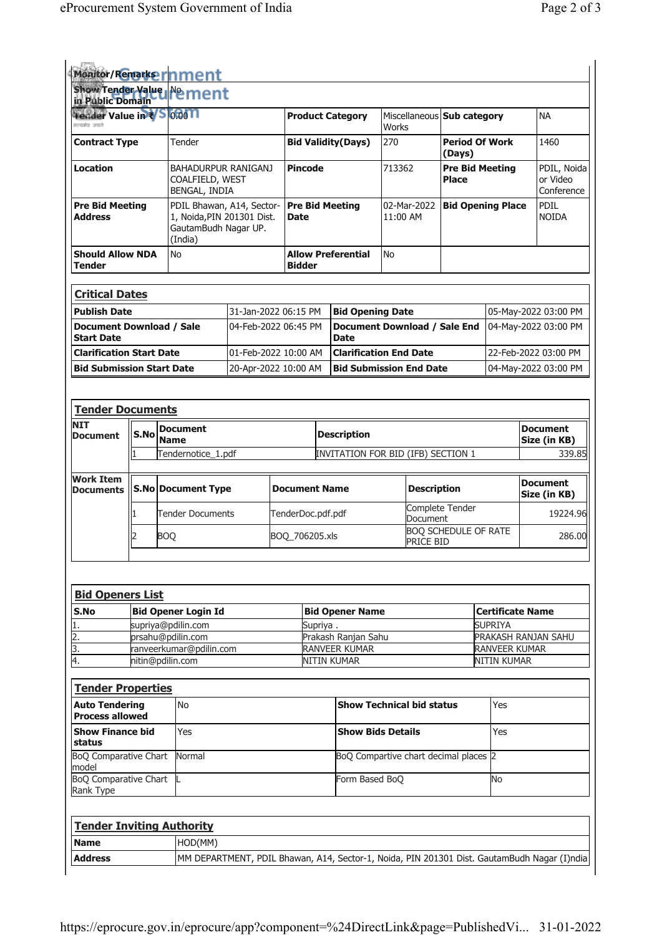|                                                                                                                                                                         |  | Monitor/Remarks rinment                                                                    |                                            |                      |                |                                       |                                          |                                 |                                        |                                 |                      |                                       |
|-------------------------------------------------------------------------------------------------------------------------------------------------------------------------|--|--------------------------------------------------------------------------------------------|--------------------------------------------|----------------------|----------------|---------------------------------------|------------------------------------------|---------------------------------|----------------------------------------|---------------------------------|----------------------|---------------------------------------|
| in Public Domain                                                                                                                                                        |  | Show Tender Value Ne ment                                                                  |                                            |                      |                |                                       |                                          |                                 |                                        |                                 |                      |                                       |
| Tender Value in $\sqrt[3]{5}$ 0001<br>सन्यमेव जयले                                                                                                                      |  |                                                                                            |                                            |                      |                | <b>Product Category</b>               | Works                                    |                                 | Miscellaneous Sub category             |                                 |                      | <b>NA</b>                             |
| <b>Contract Type</b>                                                                                                                                                    |  | Tender                                                                                     |                                            |                      |                | <b>Bid Validity(Days)</b>             | 270<br>(Days)                            |                                 |                                        | <b>Period Of Work</b>           |                      | 1460                                  |
| <b>Location</b>                                                                                                                                                         |  | BAHADURPUR RANIGANJ<br>COALFIELD, WEST<br>BENGAL, INDIA                                    |                                            |                      | <b>Pincode</b> |                                       |                                          |                                 | <b>Pre Bid Meeting</b><br><b>Place</b> |                                 |                      | PDIL, Noida<br>or Video<br>Conference |
| <b>Pre Bid Meeting</b><br><b>Address</b>                                                                                                                                |  | PDIL Bhawan, A14, Sector-<br>1, Noida, PIN 201301 Dist.<br>GautamBudh Nagar UP.<br>(India) | <b>Pre Bid Meeting</b><br><b>Date</b>      |                      |                | 02-Mar-2022<br>11:00 AM               |                                          |                                 | <b>Bid Opening Place</b>               |                                 | PDIL<br><b>NOIDA</b> |                                       |
| <b>Should Allow NDA</b><br><b>Tender</b>                                                                                                                                |  | No                                                                                         | <b>Allow Preferential</b><br><b>Bidder</b> |                      |                | No                                    |                                          |                                 |                                        |                                 |                      |                                       |
| <b>Critical Dates</b>                                                                                                                                                   |  |                                                                                            |                                            |                      |                |                                       |                                          |                                 |                                        |                                 |                      |                                       |
| <b>Publish Date</b>                                                                                                                                                     |  |                                                                                            | 31-Jan-2022 06:15 PM                       |                      |                | <b>Bid Opening Date</b>               |                                          |                                 |                                        |                                 |                      | 05-May-2022 03:00 PM                  |
| <b>Document Download / Sale</b><br><b>Start Date</b>                                                                                                                    |  |                                                                                            | 04-Feb-2022 06:45 PM                       |                      | <b>Date</b>    | Document Download / Sale End          |                                          |                                 |                                        | 04-May-2022 03:00 PM            |                      |                                       |
| <b>Clarification Start Date</b>                                                                                                                                         |  |                                                                                            | 01-Feb-2022 10:00 AM                       |                      |                | <b>Clarification End Date</b>         |                                          |                                 |                                        | 22-Feb-2022 03:00 PM            |                      |                                       |
| <b>Bid Submission Start Date</b>                                                                                                                                        |  |                                                                                            | 20-Apr-2022 10:00 AM                       |                      |                | <b>Bid Submission End Date</b>        |                                          |                                 |                                        | 04-May-2022 03:00 PM            |                      |                                       |
|                                                                                                                                                                         |  |                                                                                            |                                            |                      |                |                                       |                                          |                                 |                                        |                                 |                      |                                       |
| <b>Tender Documents</b>                                                                                                                                                 |  |                                                                                            |                                            |                      |                |                                       |                                          |                                 |                                        |                                 |                      |                                       |
| <b>NIT</b><br>S.No<br><b>Document</b>                                                                                                                                   |  | <b>Document</b><br><b>Name</b>                                                             |                                            | <b>Description</b>   |                |                                       |                                          | <b>Document</b><br>Size (in KB) |                                        |                                 |                      |                                       |
|                                                                                                                                                                         |  | Tendernotice_1.pdf                                                                         |                                            |                      |                | INVITATION FOR BID (IFB) SECTION 1    |                                          |                                 |                                        |                                 |                      | 339.85                                |
| <b>Work Item</b><br><b>Documents</b>                                                                                                                                    |  | <b>S.No Document Type</b>                                                                  |                                            | <b>Document Name</b> |                |                                       | <b>Description</b>                       |                                 |                                        | <b>Document</b><br>Size (in KB) |                      |                                       |
|                                                                                                                                                                         |  | <b>Tender Documents</b>                                                                    | TenderDoc.pdf.pdf                          |                      |                | Complete Tender<br>Document           |                                          |                                 |                                        | 19224.96                        |                      |                                       |
| 2                                                                                                                                                                       |  | <b>BOQ</b>                                                                                 |                                            | BOQ_706205.xls       |                |                                       | <b>BOQ SCHEDULE OF RATE</b><br>PRICE BID |                                 |                                        |                                 |                      | 286.00                                |
|                                                                                                                                                                         |  |                                                                                            |                                            |                      |                |                                       |                                          |                                 |                                        |                                 |                      |                                       |
| <b>Bid Openers List</b>                                                                                                                                                 |  |                                                                                            |                                            |                      |                |                                       |                                          |                                 |                                        |                                 |                      |                                       |
|                                                                                                                                                                         |  | <b>Bid Opener Login Id</b>                                                                 |                                            |                      |                | <b>Bid Opener Name</b>                |                                          |                                 |                                        | <b>Certificate Name</b>         |                      |                                       |
|                                                                                                                                                                         |  | supriya@pdilin.com                                                                         |                                            |                      | Supriya .      |                                       |                                          |                                 |                                        | <b>SUPRIYA</b>                  |                      |                                       |
|                                                                                                                                                                         |  | prsahu@pdilin.com<br>ranveerkumar@pdilin.com                                               |                                            |                      |                | Prakash Ranjan Sahu<br>RANVEER KUMAR  |                                          |                                 |                                        | RANVEER KUMAR                   |                      | PRAKASH RANJAN SAHU                   |
| S.No                                                                                                                                                                    |  | nitin@pdilin.com                                                                           |                                            |                      |                | <b>NITIN KUMAR</b>                    |                                          |                                 |                                        | <b>NITIN KUMAR</b>              |                      |                                       |
| <b>Tender Properties</b>                                                                                                                                                |  |                                                                                            |                                            |                      |                |                                       |                                          |                                 |                                        |                                 |                      |                                       |
|                                                                                                                                                                         |  | No                                                                                         |                                            |                      |                | <b>Show Technical bid status</b>      |                                          |                                 |                                        | Yes                             |                      |                                       |
| <b>Show Finance bid</b>                                                                                                                                                 |  | Yes                                                                                        |                                            |                      |                | <b>Show Bids Details</b>              |                                          |                                 |                                        | Yes                             |                      |                                       |
|                                                                                                                                                                         |  | Normal                                                                                     |                                            |                      |                | BoQ Compartive chart decimal places 2 |                                          |                                 |                                        |                                 |                      |                                       |
| 1.<br>2.<br>3.<br>4.<br><b>Auto Tendering</b><br><b>Process allowed</b><br>status<br><b>BoQ Comparative Chart</b><br>model<br><b>BoQ Comparative Chart</b><br>Rank Type |  |                                                                                            |                                            |                      |                | Form Based BoQ                        |                                          |                                 |                                        | <b>No</b>                       |                      |                                       |
|                                                                                                                                                                         |  |                                                                                            |                                            |                      |                |                                       |                                          |                                 |                                        |                                 |                      |                                       |
| <b>Tender Inviting Authority</b><br><b>Name</b>                                                                                                                         |  | HOD(MM)                                                                                    |                                            |                      |                |                                       |                                          |                                 |                                        |                                 |                      |                                       |